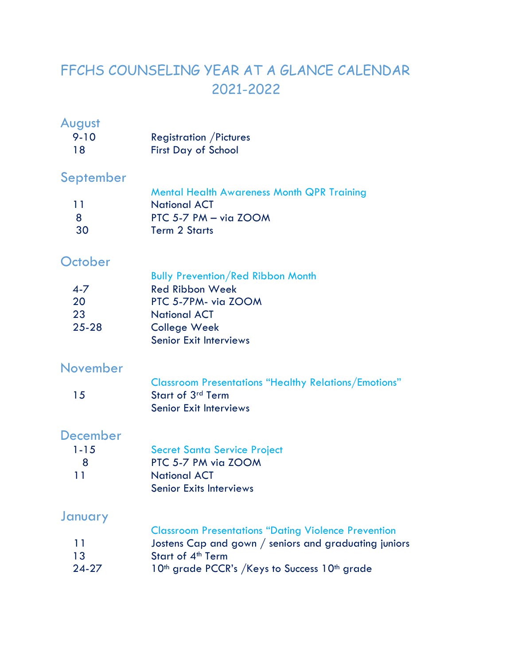# FFCHS COUNSELING YEAR AT A GLANCE CALENDAR 2021-2022

### August

| $9 - 10$ | <b>Registration / Pictures</b> |
|----------|--------------------------------|
| 18       | <b>First Day of School</b>     |

# September

|      | <b>Mental Health Awareness Month QPR Training</b> |
|------|---------------------------------------------------|
| -1-1 | <b>National ACT</b>                               |
| - 8  | PTC 5-7 PM $-$ via ZOOM                           |
| -30  | <b>Term 2 Starts</b>                              |

# **October**

| יטוטוטיו  |                                          |
|-----------|------------------------------------------|
|           | <b>Bully Prevention/Red Ribbon Month</b> |
| $4 - 7$   | <b>Red Ribbon Week</b>                   |
| 20        | PTC 5-7PM- via ZOOM                      |
| 23        | <b>National ACT</b>                      |
| $25 - 28$ | <b>College Week</b>                      |
|           | <b>Senior Exit Interviews</b>            |

#### November

|     | <b>Classroom Presentations "Healthy Relations/Emotions"</b> |
|-----|-------------------------------------------------------------|
| -15 | Start of 3 <sup>rd</sup> Term                               |
|     | <b>Senior Exit Interviews</b>                               |

#### December

| $1 - 15$ | <b>Secret Santa Service Project</b> |
|----------|-------------------------------------|
| 8        | PTC 5-7 PM via ZOOM                 |
| 11       | <b>National ACT</b>                 |
|          | <b>Senior Exits Interviews</b>      |

# January

|           | <b>Classroom Presentations "Dating Violence Prevention</b>            |
|-----------|-----------------------------------------------------------------------|
| -11-      | Jostens Cap and gown / seniors and graduating juniors                 |
| 13        | Start of 4 <sup>th</sup> Term                                         |
| $24 - 27$ | 10 <sup>th</sup> grade PCCR's /Keys to Success 10 <sup>th</sup> grade |